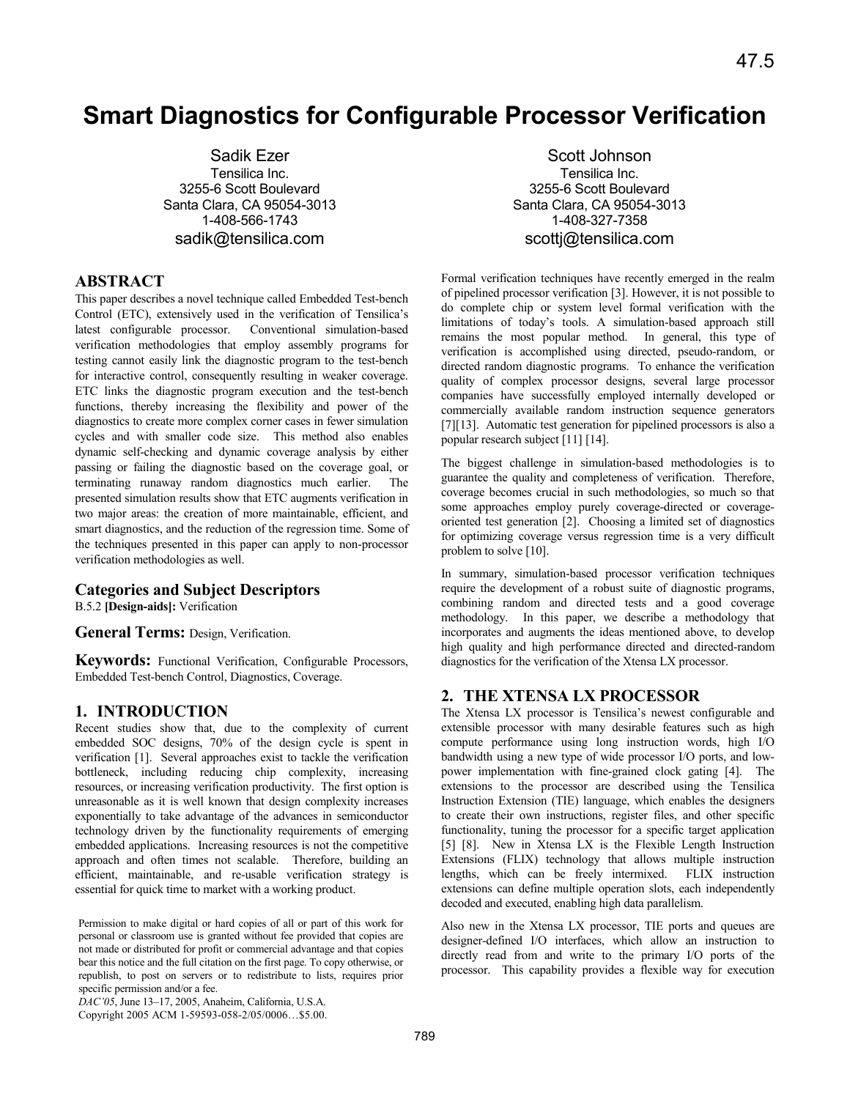# **Smart Diagnostics for Configurable Processor Verification**

Sadik Ezer Tensilica Inc. 3255-6 Scott Boulevard Santa Clara, CA 95054-3013 1-408-566-1743 sadik@tensilica.com

## **ABSTRACT**

This paper describes a novel technique called Embedded Test-bench Control (ETC), extensively used in the verification of Tensilica's latest configurable processor. Conventional simulation-based verification methodologies that employ assembly programs for testing cannot easily link the diagnostic program to the test-bench for interactive control, consequently resulting in weaker coverage. ETC links the diagnostic program execution and the test-bench functions, thereby increasing the flexibility and power of the diagnostics to create more complex corner cases in fewer simulation cycles and with smaller code size. This method also enables dynamic self-checking and dynamic coverage analysis by either passing or failing the diagnostic based on the coverage goal, or terminating runaway random diagnostics much earlier. The presented simulation results show that ETC augments verification in two major areas: the creation of more maintainable, efficient, and smart diagnostics, and the reduction of the regression time. Some of the techniques presented in this paper can apply to non-processor verification methodologies as well.

#### **Categories and Subject Descriptors**

B.5.2 **[Design-aids]:** Verification

**General Terms:** Design, Verification.

**Keywords:** Functional Verification, Configurable Processors, Embedded Test-bench Control, Diagnostics, Coverage.

## **1. INTRODUCTION**

Recent studies show that, due to the complexity of current embedded SOC designs, 70% of the design cycle is spent in verification [1]. Several approaches exist to tackle the verification bottleneck, including reducing chip complexity, increasing resources, or increasing verification productivity. The first option is unreasonable as it is well known that design complexity increases exponentially to take advantage of the advances in semiconductor technology driven by the functionality requirements of emerging embedded applications. Increasing resources is not the competitive approach and often times not scalable. Therefore, building an efficient, maintainable, and re-usable verification strategy is essential for quick time to market with a working product.

*DAC'05*, June 13–17, 2005, Anaheim, California, U.S.A.

Copyright 2005 ACM 1-59593-058-2/05/0006…\$5.00.

Scott Johnson Tensilica Inc. 3255-6 Scott Boulevard Santa Clara, CA 95054-3013 1-408-327-7358 scottj@tensilica.com

Formal verification techniques have recently emerged in the realm of pipelined processor verification [3]. However, it is not possible to do complete chip or system level formal verification with the limitations of today's tools. A simulation-based approach still remains the most popular method. In general, this type of verification is accomplished using directed, pseudo-random, or directed random diagnostic programs. To enhance the verification quality of complex processor designs, several large processor companies have successfully employed internally developed or commercially available random instruction sequence generators [7][13]. Automatic test generation for pipelined processors is also a popular research subject [11] [14].

The biggest challenge in simulation-based methodologies is to guarantee the quality and completeness of verification. Therefore, coverage becomes crucial in such methodologies, so much so that some approaches employ purely coverage-directed or coverageoriented test generation [2]. Choosing a limited set of diagnostics for optimizing coverage versus regression time is a very difficult problem to solve [10].

In summary, simulation-based processor verification techniques require the development of a robust suite of diagnostic programs, combining random and directed tests and a good coverage methodology. In this paper, we describe a methodology that incorporates and augments the ideas mentioned above, to develop high quality and high performance directed and directed-random diagnostics for the verification of the Xtensa LX processor.

#### **2. THE XTENSA LX PROCESSOR**

The Xtensa LX processor is Tensilica's newest configurable and extensible processor with many desirable features such as high compute performance using long instruction words, high I/O bandwidth using a new type of wide processor I/O ports, and lowpower implementation with fine-grained clock gating [4]. The extensions to the processor are described using the Tensilica Instruction Extension (TIE) language, which enables the designers to create their own instructions, register files, and other specific functionality, tuning the processor for a specific target application [5] [8]. New in Xtensa LX is the Flexible Length Instruction Extensions (FLIX) technology that allows multiple instruction lengths, which can be freely intermixed. FLIX instruction extensions can define multiple operation slots, each independently decoded and executed, enabling high data parallelism.

Also new in the Xtensa LX processor, TIE ports and queues are designer-defined I/O interfaces, which allow an instruction to directly read from and write to the primary I/O ports of the processor. This capability provides a flexible way for execution

Permission to make digital or hard copies of all or part of this work for personal or classroom use is granted without fee provided that copies are not made or distributed for profit or commercial advantage and that copies bear this notice and the full citation on the first page. To copy otherwise, or republish, to post on servers or to redistribute to lists, requires prior specific permission and/or a fee.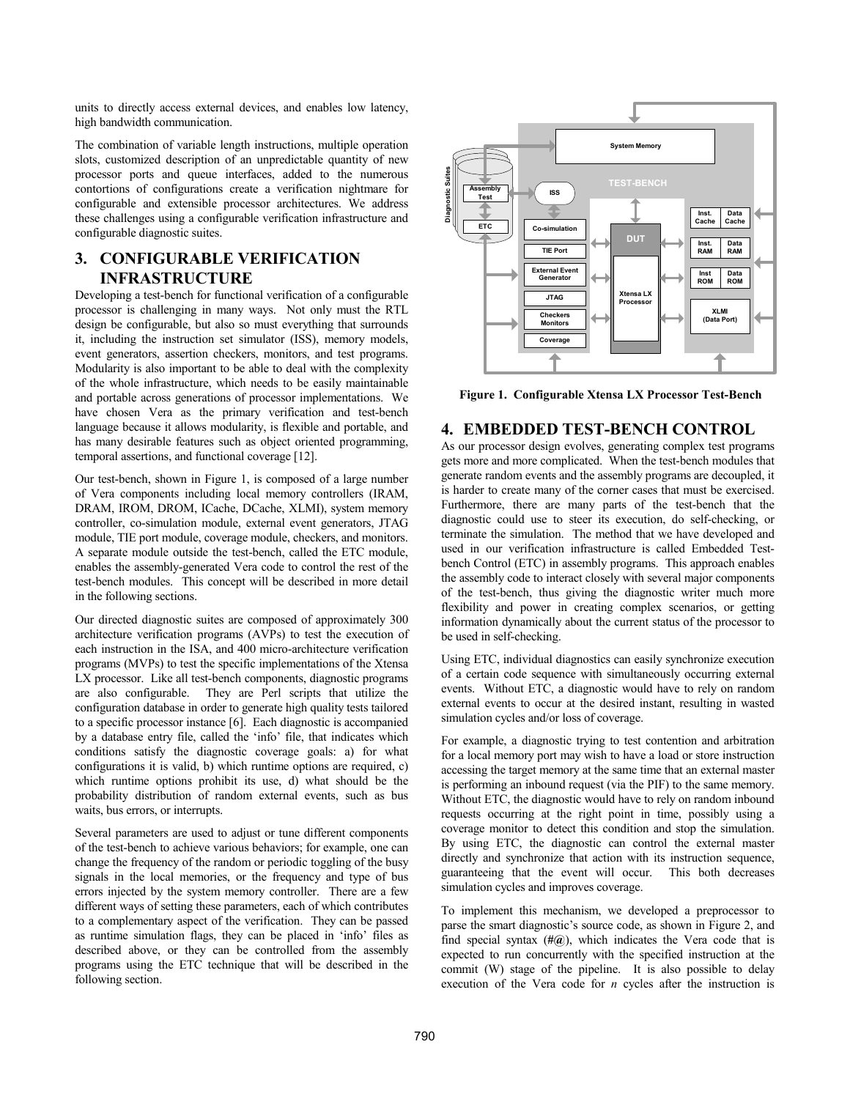units to directly access external devices, and enables low latency, high bandwidth communication.

The combination of variable length instructions, multiple operation slots, customized description of an unpredictable quantity of new processor ports and queue interfaces, added to the numerous contortions of configurations create a verification nightmare for configurable and extensible processor architectures. We address these challenges using a configurable verification infrastructure and configurable diagnostic suites.

# **3. CONFIGURABLE VERIFICATION INFRASTRUCTURE**

Developing a test-bench for functional verification of a configurable processor is challenging in many ways. Not only must the RTL design be configurable, but also so must everything that surrounds it, including the instruction set simulator (ISS), memory models, event generators, assertion checkers, monitors, and test programs. Modularity is also important to be able to deal with the complexity of the whole infrastructure, which needs to be easily maintainable and portable across generations of processor implementations. We have chosen Vera as the primary verification and test-bench language because it allows modularity, is flexible and portable, and has many desirable features such as object oriented programming, temporal assertions, and functional coverage [12].

Our test-bench, shown in Figure 1, is composed of a large number of Vera components including local memory controllers (IRAM, DRAM, IROM, DROM, ICache, DCache, XLMI), system memory controller, co-simulation module, external event generators, JTAG module, TIE port module, coverage module, checkers, and monitors. A separate module outside the test-bench, called the ETC module, enables the assembly-generated Vera code to control the rest of the test-bench modules. This concept will be described in more detail in the following sections.

Our directed diagnostic suites are composed of approximately 300 architecture verification programs (AVPs) to test the execution of each instruction in the ISA, and 400 micro-architecture verification programs (MVPs) to test the specific implementations of the Xtensa LX processor. Like all test-bench components, diagnostic programs are also configurable. They are Perl scripts that utilize the configuration database in order to generate high quality tests tailored to a specific processor instance [6]. Each diagnostic is accompanied by a database entry file, called the 'info' file, that indicates which conditions satisfy the diagnostic coverage goals: a) for what configurations it is valid, b) which runtime options are required, c) which runtime options prohibit its use, d) what should be the probability distribution of random external events, such as bus waits, bus errors, or interrupts.

Several parameters are used to adjust or tune different components of the test-bench to achieve various behaviors; for example, one can change the frequency of the random or periodic toggling of the busy signals in the local memories, or the frequency and type of bus errors injected by the system memory controller. There are a few different ways of setting these parameters, each of which contributes to a complementary aspect of the verification. They can be passed as runtime simulation flags, they can be placed in 'info' files as described above, or they can be controlled from the assembly programs using the ETC technique that will be described in the following section.



**Figure 1. Configurable Xtensa LX Processor Test-Bench** 

#### **4. EMBEDDED TEST-BENCH CONTROL**

As our processor design evolves, generating complex test programs gets more and more complicated. When the test-bench modules that generate random events and the assembly programs are decoupled, it is harder to create many of the corner cases that must be exercised. Furthermore, there are many parts of the test-bench that the diagnostic could use to steer its execution, do self-checking, or terminate the simulation. The method that we have developed and used in our verification infrastructure is called Embedded Testbench Control (ETC) in assembly programs. This approach enables the assembly code to interact closely with several major components of the test-bench, thus giving the diagnostic writer much more flexibility and power in creating complex scenarios, or getting information dynamically about the current status of the processor to be used in self-checking.

Using ETC, individual diagnostics can easily synchronize execution of a certain code sequence with simultaneously occurring external events. Without ETC, a diagnostic would have to rely on random external events to occur at the desired instant, resulting in wasted simulation cycles and/or loss of coverage.

For example, a diagnostic trying to test contention and arbitration for a local memory port may wish to have a load or store instruction accessing the target memory at the same time that an external master is performing an inbound request (via the PIF) to the same memory. Without ETC, the diagnostic would have to rely on random inbound requests occurring at the right point in time, possibly using a coverage monitor to detect this condition and stop the simulation. By using ETC, the diagnostic can control the external master directly and synchronize that action with its instruction sequence. guaranteeing that the event will occur. This both decreases simulation cycles and improves coverage.

To implement this mechanism, we developed a preprocessor to parse the smart diagnostic's source code, as shown in Figure 2, and find special syntax (**#@**), which indicates the Vera code that is expected to run concurrently with the specified instruction at the commit (W) stage of the pipeline. It is also possible to delay execution of the Vera code for *n* cycles after the instruction is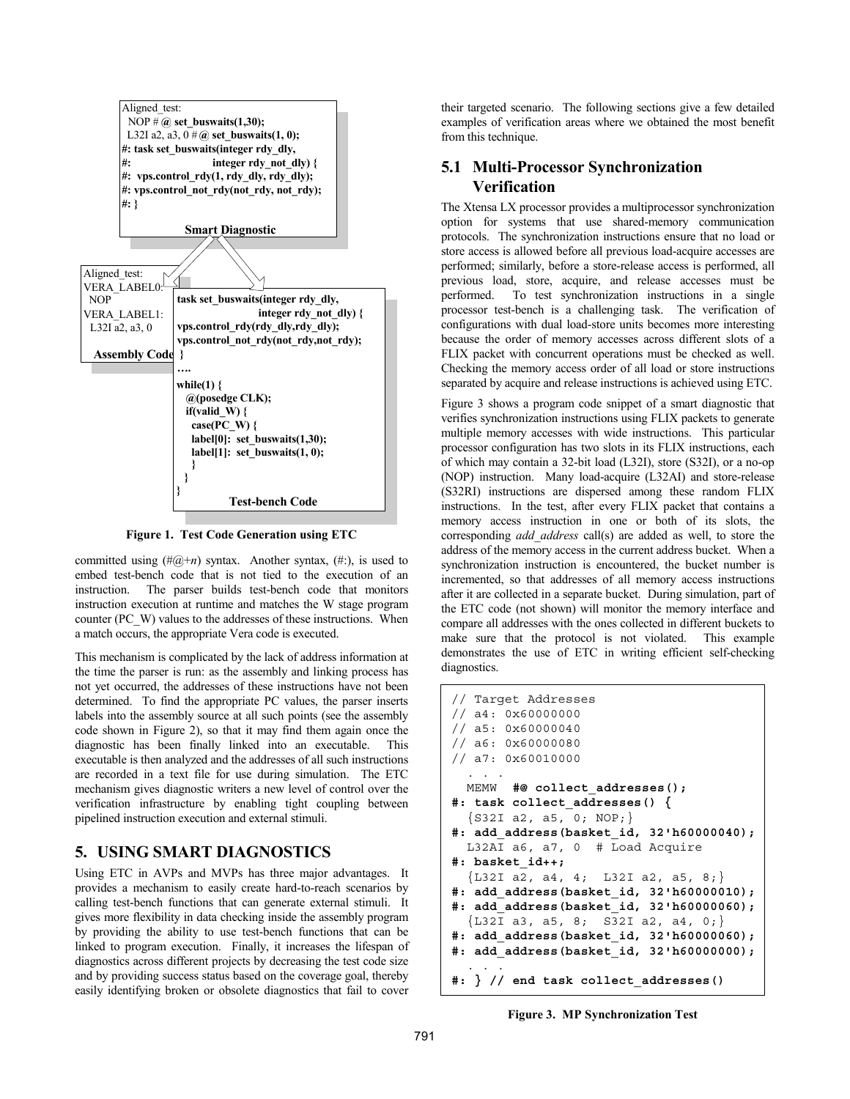

**Figure 1. Test Code Generation using ETC**

committed using  $(\#(\widehat{a})+n)$  syntax. Another syntax,  $(\#$ :), is used to embed test-bench code that is not tied to the execution of an instruction. The parser builds test-bench code that monitors instruction execution at runtime and matches the W stage program counter (PC\_W) values to the addresses of these instructions. When a match occurs, the appropriate Vera code is executed.

This mechanism is complicated by the lack of address information at the time the parser is run: as the assembly and linking process has not yet occurred, the addresses of these instructions have not been determined. To find the appropriate PC values, the parser inserts labels into the assembly source at all such points (see the assembly code shown in Figure 2), so that it may find them again once the diagnostic has been finally linked into an executable. This executable is then analyzed and the addresses of all such instructions are recorded in a text file for use during simulation. The ETC mechanism gives diagnostic writers a new level of control over the verification infrastructure by enabling tight coupling between pipelined instruction execution and external stimuli.

## **5. USING SMART DIAGNOSTICS**

Using ETC in AVPs and MVPs has three major advantages. It provides a mechanism to easily create hard-to-reach scenarios by calling test-bench functions that can generate external stimuli. It gives more flexibility in data checking inside the assembly program by providing the ability to use test-bench functions that can be linked to program execution. Finally, it increases the lifespan of diagnostics across different projects by decreasing the test code size and by providing success status based on the coverage goal, thereby easily identifying broken or obsolete diagnostics that fail to cover

their targeted scenario. The following sections give a few detailed examples of verification areas where we obtained the most benefit from this technique.

## **5.1 Multi-Processor Synchronization Verification**

The Xtensa LX processor provides a multiprocessor synchronization option for systems that use shared-memory communication protocols. The synchronization instructions ensure that no load or store access is allowed before all previous load-acquire accesses are performed; similarly, before a store-release access is performed, all previous load, store, acquire, and release accesses must be performed. To test synchronization instructions in a single processor test-bench is a challenging task. The verification of configurations with dual load-store units becomes more interesting because the order of memory accesses across different slots of a FLIX packet with concurrent operations must be checked as well. Checking the memory access order of all load or store instructions separated by acquire and release instructions is achieved using ETC.

Figure 3 shows a program code snippet of a smart diagnostic that verifies synchronization instructions using FLIX packets to generate multiple memory accesses with wide instructions. This particular processor configuration has two slots in its FLIX instructions, each of which may contain a 32-bit load (L32I), store (S32I), or a no-op (NOP) instruction. Many load-acquire (L32AI) and store-release (S32RI) instructions are dispersed among these random FLIX instructions. In the test, after every FLIX packet that contains a memory access instruction in one or both of its slots, the corresponding *add\_address* call(s) are added as well, to store the address of the memory access in the current address bucket. When a synchronization instruction is encountered, the bucket number is incremented, so that addresses of all memory access instructions after it are collected in a separate bucket. During simulation, part of the ETC code (not shown) will monitor the memory interface and compare all addresses with the ones collected in different buckets to make sure that the protocol is not violated. This example demonstrates the use of ETC in writing efficient self-checking diagnostics.

| // Tarqet Addresses                           |
|-----------------------------------------------|
| $//$ a4: 0x60000000                           |
| $//$ a5: 0x60000040                           |
| $//$ a6: 0x60000080                           |
| // a7: 0x60010000                             |
|                                               |
| MEMW $#$ @ collect addresses();               |
| #: task collect addresses() $\{$              |
| $\{$ S32I a2, a5, 0; NOP; $\}$                |
| #: add address(basket id, 32'h60000040);      |
| L32AI a6, a7, 0 # Load Acquire                |
| #: basket id++;                               |
| $\{L32I a2, a4, 4; L32I a2, a5, 8; \}$        |
| $\#$ : add address(basket id, 32'h60000010);  |
| #: add address(basket id, 32'h60000060);      |
| $\{L32I$ a3, a5, 8; S32I a2, a4, 0; $\}$      |
| #: add address(basket id, 32'h60000060);      |
| $\#$ : add address (basket id, 32'h60000000); |
|                                               |
| $#: \}$ // end task collect addresses()       |

**Figure 3. MP Synchronization Test**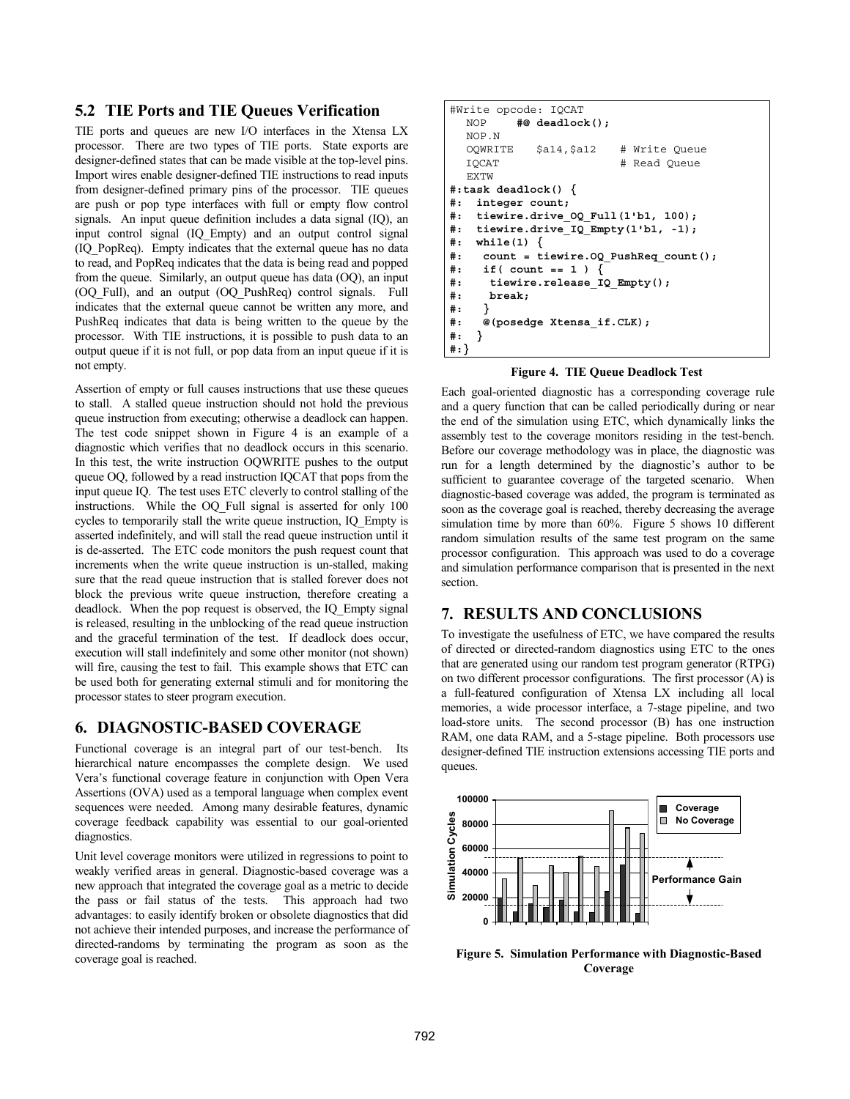#### **5.2 TIE Ports and TIE Queues Verification**

TIE ports and queues are new I/O interfaces in the Xtensa LX processor. There are two types of TIE ports. State exports are designer-defined states that can be made visible at the top-level pins. Import wires enable designer-defined TIE instructions to read inputs from designer-defined primary pins of the processor. TIE queues are push or pop type interfaces with full or empty flow control signals. An input queue definition includes a data signal (IQ), an input control signal (IQ\_Empty) and an output control signal (IQ\_PopReq). Empty indicates that the external queue has no data to read, and PopReq indicates that the data is being read and popped from the queue. Similarly, an output queue has data (OQ), an input (OQ\_Full), and an output (OQ\_PushReq) control signals. Full indicates that the external queue cannot be written any more, and PushReq indicates that data is being written to the queue by the processor. With TIE instructions, it is possible to push data to an output queue if it is not full, or pop data from an input queue if it is not empty.

Assertion of empty or full causes instructions that use these queues to stall. A stalled queue instruction should not hold the previous queue instruction from executing; otherwise a deadlock can happen. The test code snippet shown in Figure 4 is an example of a diagnostic which verifies that no deadlock occurs in this scenario. In this test, the write instruction OQWRITE pushes to the output queue OO, followed by a read instruction IOCAT that pops from the input queue IQ. The test uses ETC cleverly to control stalling of the instructions. While the OQ\_Full signal is asserted for only 100 cycles to temporarily stall the write queue instruction, IQ\_Empty is asserted indefinitely, and will stall the read queue instruction until it is de-asserted. The ETC code monitors the push request count that increments when the write queue instruction is un-stalled, making sure that the read queue instruction that is stalled forever does not block the previous write queue instruction, therefore creating a deadlock.When the pop request is observed, the IQ\_Empty signal is released, resulting in the unblocking of the read queue instruction and the graceful termination of the test. If deadlock does occur, execution will stall indefinitely and some other monitor (not shown) will fire, causing the test to fail. This example shows that ETC can be used both for generating external stimuli and for monitoring the processor states to steer program execution.

#### **6. DIAGNOSTIC-BASED COVERAGE**

Functional coverage is an integral part of our test-bench. Its hierarchical nature encompasses the complete design. We used Vera's functional coverage feature in conjunction with Open Vera Assertions (OVA) used as a temporal language when complex event sequences were needed. Among many desirable features, dynamic coverage feedback capability was essential to our goal-oriented diagnostics.

Unit level coverage monitors were utilized in regressions to point to weakly verified areas in general. Diagnostic-based coverage was a new approach that integrated the coverage goal as a metric to decide the pass or fail status of the tests. This approach had two advantages: to easily identify broken or obsolete diagnostics that did not achieve their intended purposes, and increase the performance of directed-randoms by terminating the program as soon as the coverage goal is reached.

| #Write opcode: IQCAT                        |  |
|---------------------------------------------|--|
| $NOP$ #@ deadlock();                        |  |
| NOP.N                                       |  |
| OQWRITE \$a14, \$a12 # Write Queue          |  |
| <b>IOCAT</b><br># Read Oueue                |  |
| <b>EXTW</b>                                 |  |
| #:task deadlock() {                         |  |
| #: integer count;                           |  |
| #: tiewire.drive OQ Full(1'b1, 100);        |  |
| #: tiewire.drive IQ Empty(1'b1, -1);        |  |
| #: $\text{while} \left(1\right)$ {          |  |
| $\#$ : count = tiewire. OQ PushReq count(); |  |
| if ( count == $1$ ) {<br>$\#$ :             |  |
| #: tiewire.release IQ Empty();              |  |
| break;<br>#:                                |  |
| ł<br>$\texttt{+}:$                          |  |
| #: @(posedge Xtensa if.CLK);                |  |
| - }<br>#:                                   |  |
| #: }                                        |  |

**Figure 4. TIE Queue Deadlock Test** 

Each goal-oriented diagnostic has a corresponding coverage rule and a query function that can be called periodically during or near the end of the simulation using ETC, which dynamically links the assembly test to the coverage monitors residing in the test-bench. Before our coverage methodology was in place, the diagnostic was run for a length determined by the diagnostic's author to be sufficient to guarantee coverage of the targeted scenario. When diagnostic-based coverage was added, the program is terminated as soon as the coverage goal is reached, thereby decreasing the average simulation time by more than 60%. Figure 5 shows 10 different random simulation results of the same test program on the same processor configuration. This approach was used to do a coverage and simulation performance comparison that is presented in the next section.

## **7. RESULTS AND CONCLUSIONS**

To investigate the usefulness of ETC, we have compared the results of directed or directed-random diagnostics using ETC to the ones that are generated using our random test program generator (RTPG) on two different processor configurations. The first processor (A) is a full-featured configuration of Xtensa LX including all local memories, a wide processor interface, a 7-stage pipeline, and two load-store units. The second processor (B) has one instruction RAM, one data RAM, and a 5-stage pipeline. Both processors use designer-defined TIE instruction extensions accessing TIE ports and queues.



**Figure 5. Simulation Performance with Diagnostic-Based Coverage**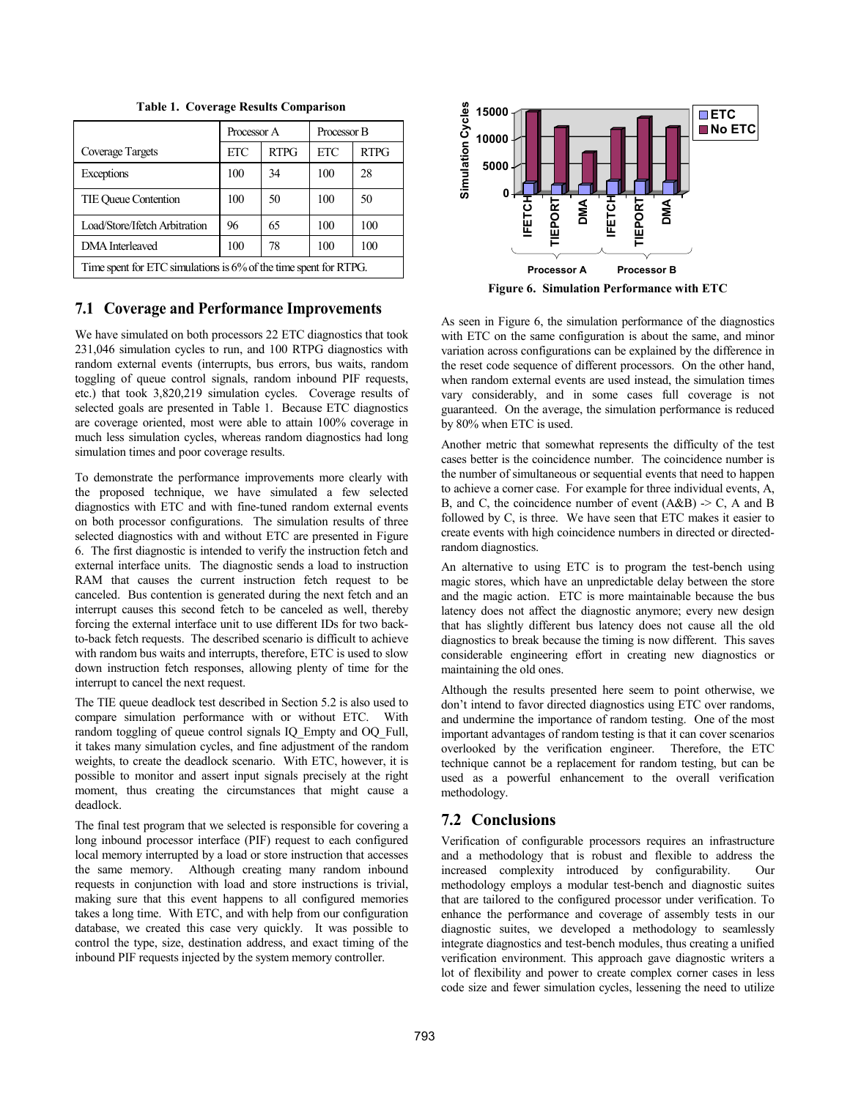|                                                                  | Processor A |             | Processor B |             |  |  |
|------------------------------------------------------------------|-------------|-------------|-------------|-------------|--|--|
| Coverage Targets                                                 | ETC         | <b>RTPG</b> | <b>ETC</b>  | <b>RTPG</b> |  |  |
| Exceptions                                                       | 100         | 34          | 100         | 28          |  |  |
| <b>TIE Oueue Contention</b>                                      | 100         | 50          | 100         | 50          |  |  |
| Load/Store/Ifetch Arbitration                                    | 96          | 65          | 100         | 100         |  |  |
| <b>DMA</b> Interleaved                                           | 100         | 78          | 100         | 100         |  |  |
| Time spent for ETC simulations is 6% of the time spent for RTPG. |             |             |             |             |  |  |

**Table 1. Coverage Results Comparison** 

## **7.1 Coverage and Performance Improvements**

We have simulated on both processors 22 ETC diagnostics that took 231,046 simulation cycles to run, and 100 RTPG diagnostics with random external events (interrupts, bus errors, bus waits, random toggling of queue control signals, random inbound PIF requests, etc.) that took 3,820,219 simulation cycles. Coverage results of selected goals are presented in Table 1. Because ETC diagnostics are coverage oriented, most were able to attain 100% coverage in much less simulation cycles, whereas random diagnostics had long simulation times and poor coverage results.

To demonstrate the performance improvements more clearly with the proposed technique, we have simulated a few selected diagnostics with ETC and with fine-tuned random external events on both processor configurations. The simulation results of three selected diagnostics with and without ETC are presented in Figure 6. The first diagnostic is intended to verify the instruction fetch and external interface units. The diagnostic sends a load to instruction RAM that causes the current instruction fetch request to be canceled. Bus contention is generated during the next fetch and an interrupt causes this second fetch to be canceled as well, thereby forcing the external interface unit to use different IDs for two backto-back fetch requests. The described scenario is difficult to achieve with random bus waits and interrupts, therefore, ETC is used to slow down instruction fetch responses, allowing plenty of time for the interrupt to cancel the next request.

The TIE queue deadlock test described in Section 5.2 is also used to compare simulation performance with or without ETC. With random toggling of queue control signals IQ Empty and OQ Full, it takes many simulation cycles, and fine adjustment of the random weights, to create the deadlock scenario. With ETC, however, it is possible to monitor and assert input signals precisely at the right moment, thus creating the circumstances that might cause a deadlock.

The final test program that we selected is responsible for covering a long inbound processor interface (PIF) request to each configured local memory interrupted by a load or store instruction that accesses the same memory. Although creating many random inbound requests in conjunction with load and store instructions is trivial, making sure that this event happens to all configured memories takes a long time. With ETC, and with help from our configuration database, we created this case very quickly. It was possible to control the type, size, destination address, and exact timing of the inbound PIF requests injected by the system memory controller.



As seen in Figure 6, the simulation performance of the diagnostics with ETC on the same configuration is about the same, and minor variation across configurations can be explained by the difference in the reset code sequence of different processors. On the other hand, when random external events are used instead, the simulation times vary considerably, and in some cases full coverage is not guaranteed. On the average, the simulation performance is reduced by 80% when ETC is used.

Another metric that somewhat represents the difficulty of the test cases better is the coincidence number. The coincidence number is the number of simultaneous or sequential events that need to happen to achieve a corner case. For example for three individual events, A, B, and C, the coincidence number of event  $(A&B)$  -> C, A and B followed by C, is three. We have seen that ETC makes it easier to create events with high coincidence numbers in directed or directedrandom diagnostics.

An alternative to using ETC is to program the test-bench using magic stores, which have an unpredictable delay between the store and the magic action. ETC is more maintainable because the bus latency does not affect the diagnostic anymore; every new design that has slightly different bus latency does not cause all the old diagnostics to break because the timing is now different. This saves considerable engineering effort in creating new diagnostics or maintaining the old ones.

Although the results presented here seem to point otherwise, we don't intend to favor directed diagnostics using ETC over randoms, and undermine the importance of random testing. One of the most important advantages of random testing is that it can cover scenarios overlooked by the verification engineer. Therefore, the ETC technique cannot be a replacement for random testing, but can be used as a powerful enhancement to the overall verification methodology.

# **7.2 Conclusions**

Verification of configurable processors requires an infrastructure and a methodology that is robust and flexible to address the increased complexity introduced by configurability. Our methodology employs a modular test-bench and diagnostic suites that are tailored to the configured processor under verification. To enhance the performance and coverage of assembly tests in our diagnostic suites, we developed a methodology to seamlessly integrate diagnostics and test-bench modules, thus creating a unified verification environment. This approach gave diagnostic writers a lot of flexibility and power to create complex corner cases in less code size and fewer simulation cycles, lessening the need to utilize